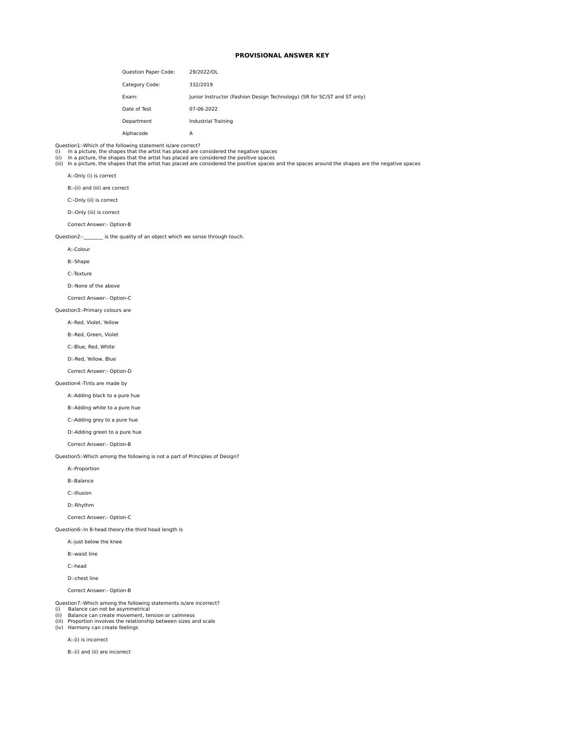# **PROVISIONAL ANSWER KEY**

| Question Paper Code: | 29/2022/OL                                                               |
|----------------------|--------------------------------------------------------------------------|
| Category Code:       | 332/2019                                                                 |
| Exam:                | Junior Instructor (Fashion Design Technology) (SR for SC/ST and ST only) |
| Date of Test         | 07-06-2022                                                               |
| Department           | Industrial Training                                                      |
| Alphacode            | Α                                                                        |

Question1:-Which of the following statement is/are correct?

(i) In a picture, the shapes that the artist has placed are considered the negative spaces<br>(ii) In a picture, the shapes that the artist has placed are considered the positive spaces<br>(iii) In a picture, the shapes that th

A:-Only (i) is correct

B:-(ii) and (iii) are correct

C:-Only (ii) is correct

D:-Only (iii) is correct

Correct Answer:- Option-B

Question2:- is the quality of an object which we sense through touch.

A:-Colour

B:-Shape

C:-Texture

D:-None of the above

Correct Answer:- Option-C

Question3:-Primary colours are

A:-Red, Violet, Yellow

B:-Red, Green, Violet

C:-Blue, Red, White

D:-Red, Yellow, Blue

Correct Answer:- Option-D

#### Question4:-Tints are made by

A:-Adding black to a pure hue

B:-Adding white to a pure hue

C:-Adding grey to a pure hue

D:-Adding green to a pure hue

Correct Answer:- Option-B

Question5:-Which among the following is not a part of Principles of Design?

A:-Proportion

B:-Balance

C:-Illusion

D:-Rhythm

Correct Answer:- Option-C

Question6:-In 8-head theory-the third head length is

A:-just below the knee

B:-waist line

C:-head

D:-chest line

Correct Answer:- Option-B

Question7:-Which among the following statements is/are incorrect? (i) Balance can not be asymmetrical

(ii) Balance can create movement, tension or calmness

- (iii) Proportion involves the relationship between sizes and scale
- (iv) Harmony can create feelings

A:-(i) is incorrect

B:-(i) and (ii) are incorrect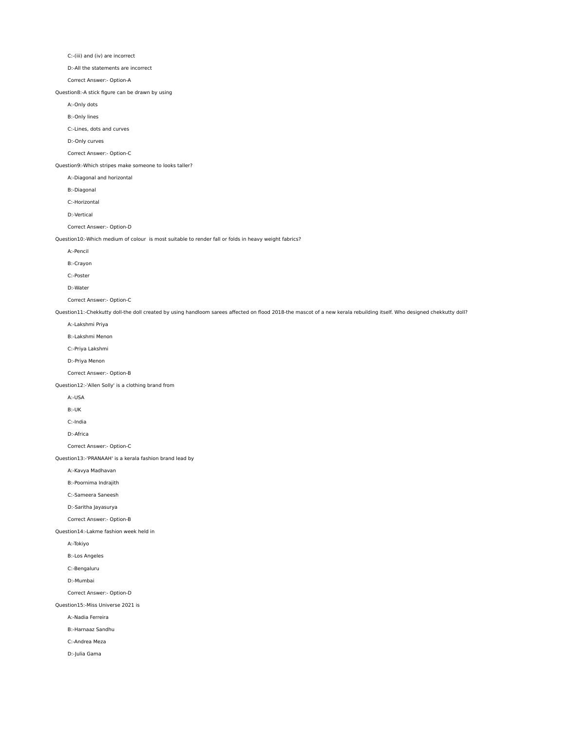C:-(iii) and (iv) are incorrect

D:-All the statements are incorrect

Correct Answer:- Option-A

Question8:-A stick figure can be drawn by using

A:-Only dots

B:-Only lines

C:-Lines, dots and curves

D:-Only curves

Correct Answer:- Option-C

Question9:-Which stripes make someone to looks taller?

A:-Diagonal and horizontal

B:-Diagonal

C:-Horizontal

D:-Vertical

Correct Answer:- Option-D

Question10:-Which medium of colour is most suitable to render fall or folds in heavy weight fabrics?

A:-Pencil

B:-Crayon

C:-Poster

D:-Water

Correct Answer:- Option-C

Question11:-Chekkutty doll-the doll created by using handloom sarees affected on flood 2018-the mascot of a new kerala rebuilding itself. Who designed chekkutty doll?

A:-Lakshmi Priya

B:-Lakshmi Menon

C:-Priya Lakshmi

D:-Priya Menon

Correct Answer:- Option-B

Question12:-'Allen Solly' is a clothing brand from

A:-USA

B:-UK

C:-India

D:-Africa

Correct Answer:- Option-C

Question13:-'PRANAAH' is a kerala fashion brand lead by

A:-Kavya Madhavan

B:-Poornima Indrajith

C:-Sameera Saneesh

D:-Saritha Jayasurya

Correct Answer:- Option-B

Question14:-Lakme fashion week held in

A:-Tokiyo

B:-Los Angeles

C:-Bengaluru

D:-Mumbai

Correct Answer:- Option-D

Question15:-Miss Universe 2021 is

A:-Nadia Ferreira

B:-Harnaaz Sandhu

C:-Andrea Meza

D:-Julia Gama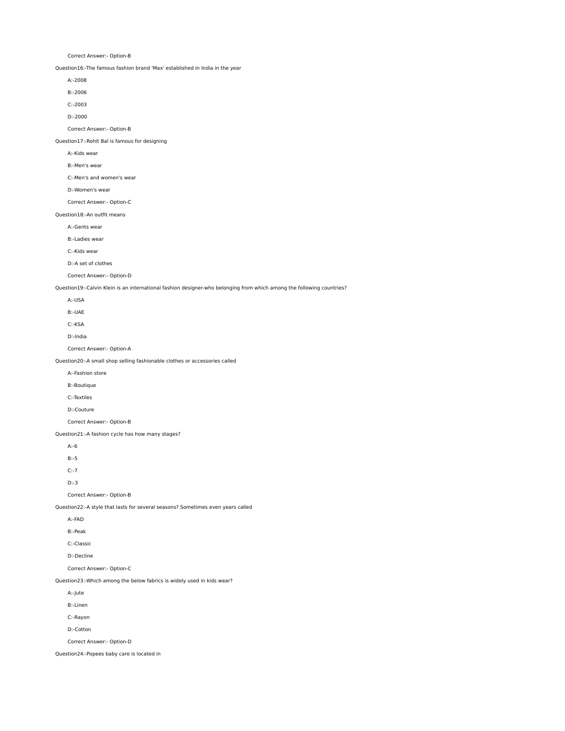Correct Answer:- Option-B

Question16:-The famous fashion brand 'Max' established in India in the year

A:-2008

B:-2006

C:-2003

D:-2000

Correct Answer:- Option-B

Question17:-Rohit Bal is famous for designing

A:-Kids wear

B:-Men's wear

C:-Men's and women's wear

D:-Women's wear

Correct Answer:- Option-C

Question18:-An outfit means

A:-Gents wear

B:-Ladies wear

C:-Kids wear

D:-A set of clothes

Correct Answer:- Option-D

Question19:-Calvin Klein is an international fashion designer-who belonging from which among the following countries?

A:-USA

B:-UAE

C:-KSA

D:-India

Correct Answer:- Option-A

Question20:-A small shop selling fashionable clothes or accessories called

A:-Fashion store

B:-Boutique

C:-Textiles

D:-Couture

Correct Answer:- Option-B

Question21:-A fashion cycle has how many stages?

A:-6

B:-5

C:-7

D:-3

Correct Answer:- Option-B

Question22:-A style that lasts for several seasons? Sometimes even years called

A:-FAD

B:-Peak

C:-Classic

D:-Decline

Correct Answer:- Option-C

Question23:-Which among the below fabrics is widely used in kids wear?

A:-Jute

B:-Linen

C:-Rayon

D:-Cotton

Correct Answer:- Option-D

Question24:-Popees baby care is located in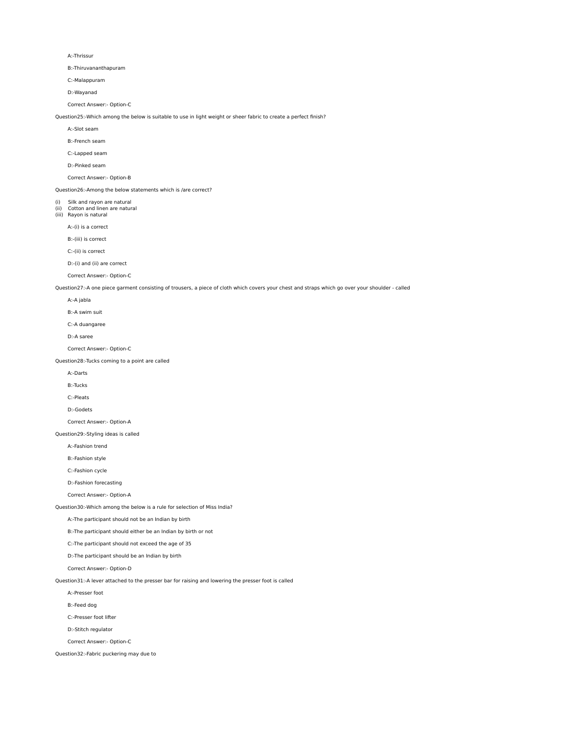#### A:-Thrissur

B:-Thiruvananthapuram

C:-Malappuram

D:-Wayanad

Correct Answer:- Option-C

Question25:-Which among the below is suitable to use in light weight or sheer fabric to create a perfect finish?

A:-Slot seam

B:-French seam

C:-Lapped seam

D:-Pinked seam

## Correct Answer:- Option-B

Question26:-Among the below statements which is /are correct?

(i) Silk and rayon are natural

(ii) Cotton and linen are natural (iii) Rayon is natural

A:-(i) is a correct

B:-(iii) is correct

C:-(ii) is correct

D:-(i) and (ii) are correct

Correct Answer:- Option-C

Question27:-A one piece garment consisting of trousers, a piece of cloth which covers your chest and straps which go over your shoulder - called

A:-A jabla

B:-A swim suit

C:-A duangaree

D:-A saree

Correct Answer:- Option-C

Question28:-Tucks coming to a point are called

A:-Darts

B:-Tucks

C:-Pleats

D:-Godets

Correct Answer:- Option-A

Question29:-Styling ideas is called

A:-Fashion trend

B:-Fashion style

C:-Fashion cycle

D:-Fashion forecasting

Correct Answer:- Option-A

Question30:-Which among the below is a rule for selection of Miss India?

A:-The participant should not be an Indian by birth

B:-The participant should either be an Indian by birth or not

C:-The participant should not exceed the age of 35

D:-The participant should be an Indian by birth

Correct Answer:- Option-D

Question31:-A lever attached to the presser bar for raising and lowering the presser foot is called

A:-Presser foot

B:-Feed dog

C:-Presser foot lifter

D:-Stitch regulator

Correct Answer:- Option-C

Question32:-Fabric puckering may due to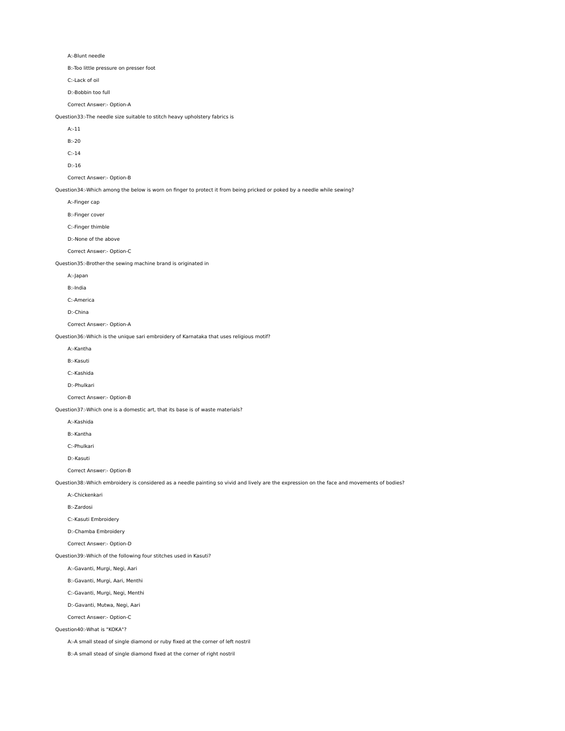A:-Blunt needle

B:-Too little pressure on presser foot

C:-Lack of oil

D:-Bobbin too full

Correct Answer:- Option-A

Question33:-The needle size suitable to stitch heavy upholstery fabrics is

A:-11

B:-20

C:-14

D:-16

Correct Answer:- Option-B

Question34:-Which among the below is worn on finger to protect it from being pricked or poked by a needle while sewing?

A:-Finger cap

B:-Finger cover

C:-Finger thimble

D:-None of the above

Correct Answer:- Option-C

Question35:-Brother-the sewing machine brand is originated in

A:-Japan

B:-India

C:-America

D:-China

Correct Answer:- Option-A

Question36:-Which is the unique sari embroidery of Karnataka that uses religious motif?

A:-Kantha

B:-Kasuti

C:-Kashida

D:-Phulkari

Correct Answer:- Option-B

Question37:-Which one is a domestic art, that its base is of waste materials?

A:-Kashida

B:-Kantha

C:-Phulkari

D:-Kasuti

Correct Answer:- Option-B

Question38:-Which embroidery is considered as a needle painting so vivid and lively are the expression on the face and movements of bodies?

A:-Chickenkari

B:-Zardosi

C:-Kasuti Embroidery

D:-Chamba Embroidery

Correct Answer:- Option-D

Question39:-Which of the following four stitches used in Kasuti?

A:-Gavanti, Murgi, Negi, Aari

B:-Gavanti, Murgi, Aari, Menthi

C:-Gavanti, Murgi, Negi, Menthi

D:-Gavanti, Mutwa, Negi, Aari

Correct Answer:- Option-C

Question40:-What is "KOKA"?

A:-A small stead of single diamond or ruby fixed at the corner of left nostril

B:-A small stead of single diamond fixed at the corner of right nostril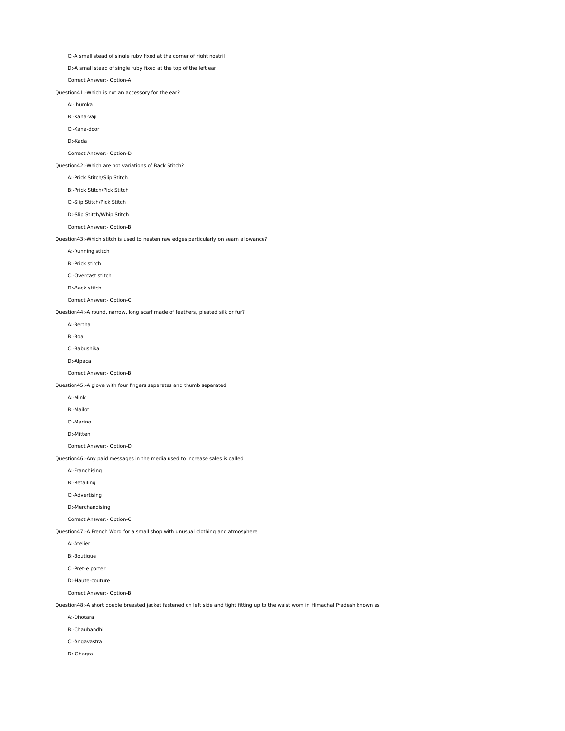C:-A small stead of single ruby fixed at the corner of right nostril

D:-A small stead of single ruby fixed at the top of the left ear

Correct Answer:- Option-A

Question41:-Which is not an accessory for the ear?

A:-Jhumka

B:-Kana-vaji

C:-Kana-door

D:-Kada

## Correct Answer:- Option-D

Question42:-Which are not variations of Back Stitch?

A:-Prick Stitch/Slip Stitch

B:-Prick Stitch/Pick Stitch

C:-Slip Stitch/Pick Stitch

D:-Slip Stitch/Whip Stitch

Correct Answer:- Option-B

Question43:-Which stitch is used to neaten raw edges particularly on seam allowance?

A:-Running stitch

B:-Prick stitch

C:-Overcast stitch

D:-Back stitch

Correct Answer:- Option-C

Question44:-A round, narrow, long scarf made of feathers, pleated silk or fur?

A:-Bertha

B:-Boa

C:-Babushika

D:-Alpaca

Correct Answer:- Option-B

Question45:-A glove with four fingers separates and thumb separated

A:-Mink

B:-Mailot

C:-Marino

D:-Mitten

Correct Answer:- Option-D

Question46:-Any paid messages in the media used to increase sales is called

A:-Franchising

B:-Retailing

C:-Advertising

D:-Merchandising

Correct Answer:- Option-C

Question47:-A French Word for a small shop with unusual clothing and atmosphere

A:-Atelier

B:-Boutique

C:-Pret-e porter

D:-Haute-couture

Correct Answer:- Option-B

Question48:-A short double breasted jacket fastened on left side and tight fitting up to the waist worn in Himachal Pradesh known as

A:-Dhotara

B:-Chaubandhi

C:-Angavastra

D:-Ghagra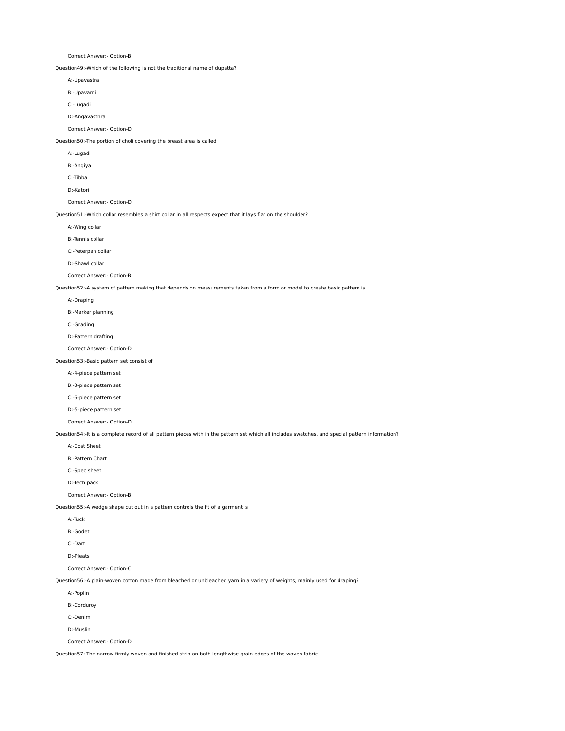Correct Answer:- Option-B

Question49:-Which of the following is not the traditional name of dupatta?

A:-Upavastra

B:-Upavarni

C:-Lugadi

D:-Angavasthra

Correct Answer:- Option-D

Question50:-The portion of choli covering the breast area is called

A:-Lugadi

B:-Angiya

C:-Tibba

D:-Katori

Correct Answer:- Option-D

Question51:-Which collar resembles a shirt collar in all respects expect that it lays flat on the shoulder?

A:-Wing collar

B:-Tennis collar

C:-Peterpan collar

D:-Shawl collar

Correct Answer:- Option-B

Question52:-A system of pattern making that depends on measurements taken from a form or model to create basic pattern is

A:-Draping

B:-Marker planning

C:-Grading

D:-Pattern drafting

Correct Answer:- Option-D

Question53:-Basic pattern set consist of

A:-4-piece pattern set

B:-3-piece pattern set

C:-6-piece pattern set

D:-5-piece pattern set

Correct Answer:- Option-D

Question54:-It is a complete record of all pattern pieces with in the pattern set which all includes swatches, and special pattern information?

A:-Cost Sheet

B:-Pattern Chart

C:-Spec sheet

D:-Tech pack

Correct Answer:- Option-B

Question55:-A wedge shape cut out in a pattern controls the fit of a garment is

A:-Tuck

B:-Godet

C:-Dart

D:-Pleats

Correct Answer:- Option-C

Question56:-A plain-woven cotton made from bleached or unbleached yarn in a variety of weights, mainly used for draping?

A:-Poplin

B:-Corduroy

C:-Denim

D:-Muslin

Correct Answer:- Option-D

Question57:-The narrow firmly woven and finished strip on both lengthwise grain edges of the woven fabric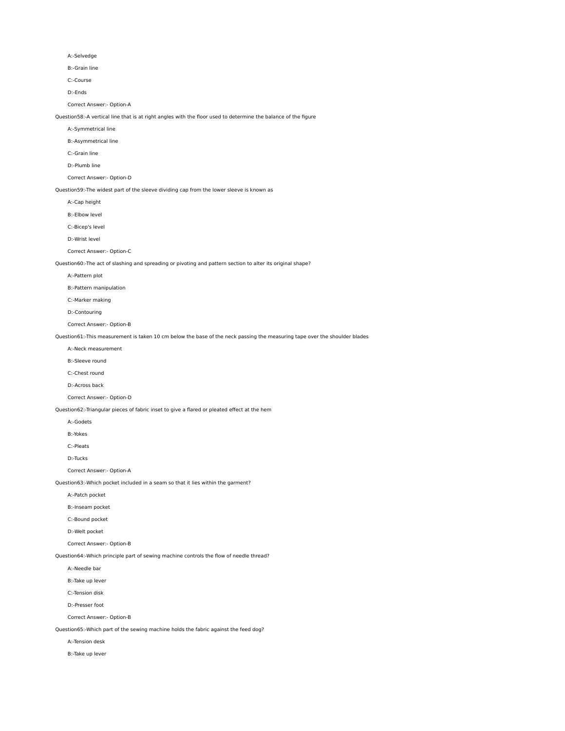#### A:-Selvedge

B:-Grain line

C:-Course

D:-Ends

#### Correct Answer:- Option-A

Question58:-A vertical line that is at right angles with the floor used to determine the balance of the figure

A:-Symmetrical line

B:-Asymmetrical line

C:-Grain line

D:-Plumb line

## Correct Answer:- Option-D

Question59:-The widest part of the sleeve dividing cap from the lower sleeve is known as

A:-Cap height

B:-Elbow level

C:-Bicep's level

D:-Wrist level

Correct Answer:- Option-C

Question60:-The act of slashing and spreading or pivoting and pattern section to alter its original shape?

A:-Pattern plot

B:-Pattern manipulation

C:-Marker making

D:-Contouring

Correct Answer:- Option-B

Question61:-This measurement is taken 10 cm below the base of the neck passing the measuring tape over the shoulder blades

A:-Neck measurement

B:-Sleeve round

C:-Chest round

D:-Across back

Correct Answer:- Option-D

Question62:-Triangular pieces of fabric inset to give a flared or pleated effect at the hem

A:-Godets

B:-Yokes

C:-Pleats

D:-Tucks

Correct Answer:- Option-A

Question63:-Which pocket included in a seam so that it lies within the garment?

A:-Patch pocket

B:-Inseam pocket

C:-Bound pocket

D:-Welt pocket

Correct Answer:- Option-B

Question64:-Which principle part of sewing machine controls the flow of needle thread?

A:-Needle bar

B:-Take up lever

C:-Tension disk

D:-Presser foot

Correct Answer:- Option-B

Question65:-Which part of the sewing machine holds the fabric against the feed dog?

A:-Tension desk

B:-Take up lever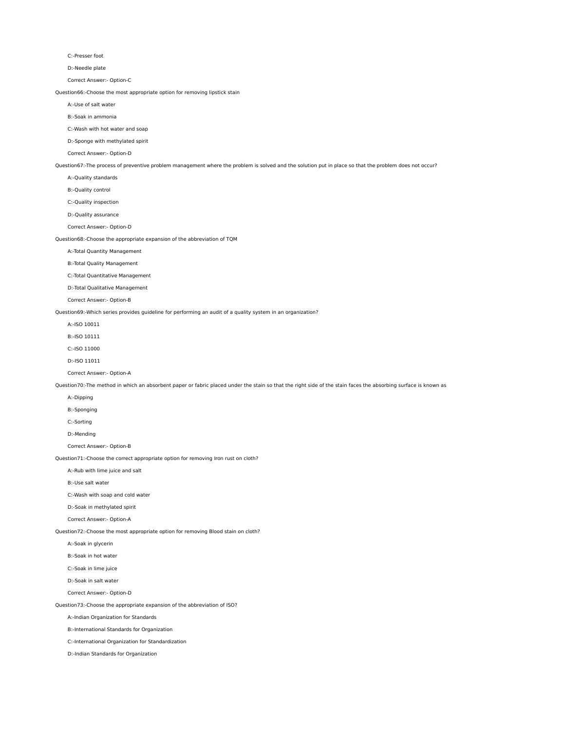#### C:-Presser foot

D:-Needle plate

Correct Answer:- Option-C

Question66:-Choose the most appropriate option for removing lipstick stain

A:-Use of salt water

B:-Soak in ammonia

C:-Wash with hot water and soap

D:-Sponge with methylated spirit

Correct Answer:- Option-D

Question67:-The process of preventive problem management where the problem is solved and the solution put in place so that the problem does not occur?

A:-Quality standards

B:-Quality control

C:-Quality inspection

D:-Quality assurance

Correct Answer:- Option-D

Question68:-Choose the appropriate expansion of the abbreviation of TQM

A:-Total Quantity Management

B:-Total Quality Management

C:-Total Quantitative Management

D:-Total Qualitative Management

Correct Answer:- Option-B

Question69:-Which series provides guideline for performing an audit of a quality system in an organization?

A:-ISO 10011

B:-ISO 10111

C:-ISO 11000

D:-ISO 11011

Correct Answer:- Option-A

Question70:-The method in which an absorbent paper or fabric placed under the stain so that the right side of the stain faces the absorbing surface is known as

A:-Dipping

B:-Sponging

C:-Sorting

D:-Mending

Correct Answer:- Option-B

Question71:-Choose the correct appropriate option for removing Iron rust on cloth?

A:-Rub with lime juice and salt

B:-Use salt water

C:-Wash with soap and cold water

D:-Soak in methylated spirit

Correct Answer:- Option-A

Question72:-Choose the most appropriate option for removing Blood stain on cloth?

A:-Soak in glycerin

B:-Soak in hot water

C:-Soak in lime juice

D:-Soak in salt water

Correct Answer:- Option-D

Question73:-Choose the appropriate expansion of the abbreviation of ISO?

A:-Indian Organization for Standards

B:-International Standards for Organization

C:-International Organization for Standardization

D:-Indian Standards for Organization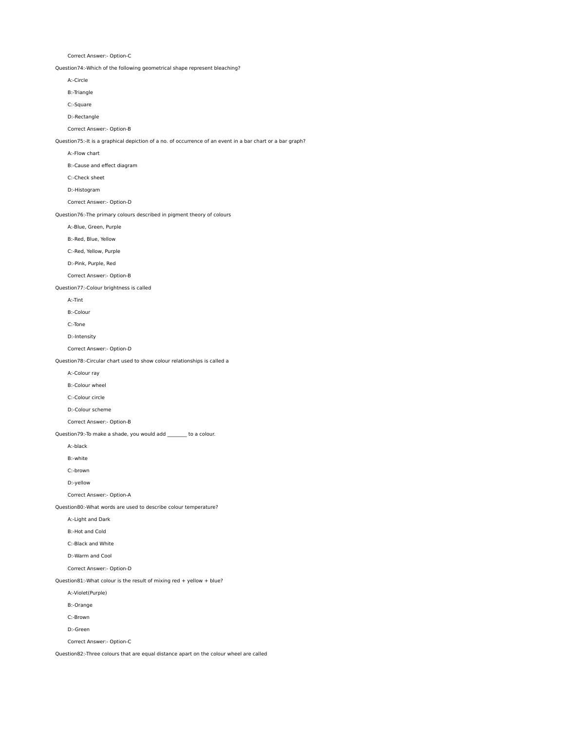Correct Answer:- Option-C

Question74:-Which of the following geometrical shape represent bleaching?

A:-Circle

B:-Triangle

C:-Square

D:-Rectangle

Correct Answer:- Option-B

Question75:-It is a graphical depiction of a no. of occurrence of an event in a bar chart or a bar graph?

A:-Flow chart

B:-Cause and effect diagram

C:-Check sheet

D:-Histogram

Correct Answer:- Option-D

Question76:-The primary colours described in pigment theory of colours

A:-Blue, Green, Purple

B:-Red, Blue, Yellow

C:-Red, Yellow, Purple

D:-Pink, Purple, Red

Correct Answer:- Option-B

Question77:-Colour brightness is called

A:-Tint

B:-Colour

C:-Tone

D:-Intensity

Correct Answer:- Option-D

Question78:-Circular chart used to show colour relationships is called a

A:-Colour ray

B:-Colour wheel

C:-Colour circle

D:-Colour scheme

Correct Answer:- Option-B

Question79:-To make a shade, you would add \_\_\_\_\_\_\_\_ to a colour.

A:-black

B:-white

C:-brown

D:-yellow

Correct Answer:- Option-A

Question80:-What words are used to describe colour temperature?

A:-Light and Dark

B:-Hot and Cold

C:-Black and White

D:-Warm and Cool

Correct Answer:- Option-D

Question81:-What colour is the result of mixing red + yellow + blue?

A:-Violet(Purple)

B:-Orange

C:-Brown

D:-Green

Correct Answer:- Option-C

Question82:-Three colours that are equal distance apart on the colour wheel are called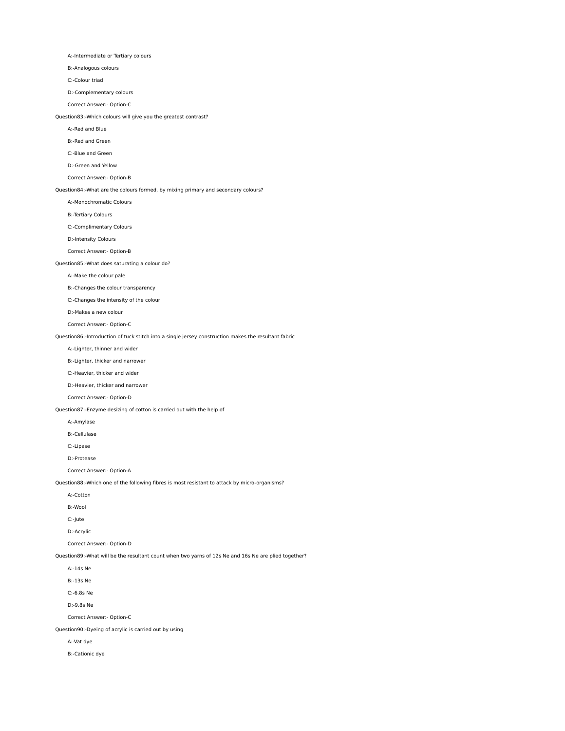A:-Intermediate or Tertiary colours

B:-Analogous colours

C:-Colour triad

D:-Complementary colours

Correct Answer:- Option-C

Question83:-Which colours will give you the greatest contrast?

A:-Red and Blue

B:-Red and Green

C:-Blue and Green

D:-Green and Yellow

## Correct Answer:- Option-B

Question84:-What are the colours formed, by mixing primary and secondary colours?

A:-Monochromatic Colours

B:-Tertiary Colours

C:-Complimentary Colours

D:-Intensity Colours

Correct Answer:- Option-B

Question85:-What does saturating a colour do?

A:-Make the colour pale

B:-Changes the colour transparency

C:-Changes the intensity of the colour

D:-Makes a new colour

Correct Answer:- Option-C

Question86:-Introduction of tuck stitch into a single jersey construction makes the resultant fabric

### A:-Lighter, thinner and wider

B:-Lighter, thicker and narrower

C:-Heavier, thicker and wider

D:-Heavier, thicker and narrower

Correct Answer:- Option-D

Question87:-Enzyme desizing of cotton is carried out with the help of

A:-Amylase

B:-Cellulase

C:-Lipase

D:-Protease

Correct Answer:- Option-A

Question88:-Which one of the following fibres is most resistant to attack by micro-organisms?

- A:-Cotton
- B:-Wool

C:-Jute

D:-Acrylic

Correct Answer:- Option-D

Question89:-What will be the resultant count when two yarns of 12s Ne and 16s Ne are plied together?

A:-14s Ne

B:-13s Ne

C:-6.8s Ne

D:-9.8s Ne

Correct Answer:- Option-C

Question90:-Dyeing of acrylic is carried out by using

A:-Vat dye

B:-Cationic dye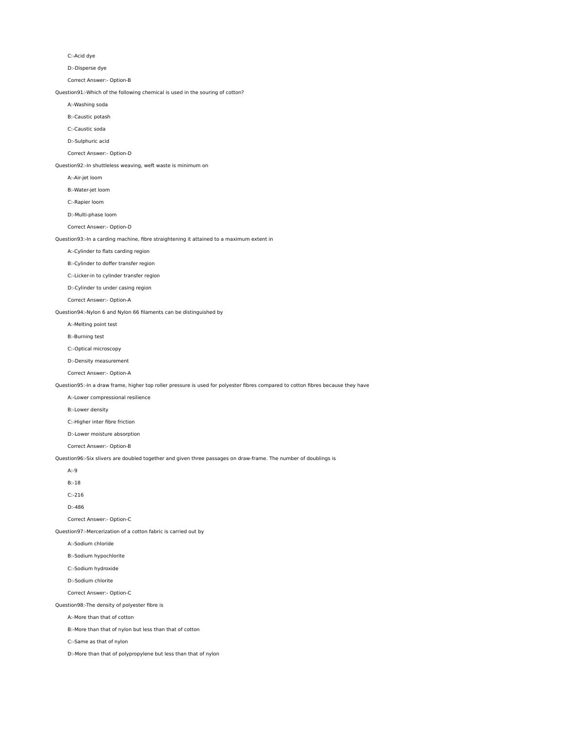#### C:-Acid dye

D:-Disperse dye

## Correct Answer:- Option-B

Question91:-Which of the following chemical is used in the souring of cotton?

- A:-Washing soda
- B:-Caustic potash
- C:-Caustic soda
- D:-Sulphuric acid
- 

# Correct Answer:- Option-D

#### Question92:-In shuttleless weaving, weft waste is minimum on

- A:-Air-jet loom
- B:-Water-jet loom
- C:-Rapier loom
- D:-Multi-phase loom

#### Correct Answer:- Option-D

## Question93:-In a carding machine, fibre straightening it attained to a maximum extent in

- A:-Cylinder to flats carding region
- B:-Cylinder to doffer transfer region
- C:-Licker-in to cylinder transfer region
- D:-Cylinder to under casing region
- Correct Answer:- Option-A

#### Question94:-Nylon 6 and Nylon 66 filaments can be distinguished by

- A:-Melting point test
- B:-Burning test
- C:-Optical microscopy
- D:-Density measurement
- Correct Answer:- Option-A

## Question95:-In a draw frame, higher top roller pressure is used for polyester fibres compared to cotton fibres because they have

- A:-Lower compressional resilience
- B:-Lower density
- C:-Higher inter fibre friction
- D:-Lower moisture absorption
- Correct Answer:- Option-B

# Question96:-Six slivers are doubled together and given three passages on draw-frame. The number of doublings is

A:-9

B:-18

- C:-216
- D:-486
- Correct Answer:- Option-C
- Question97:-Mercerization of a cotton fabric is carried out by
	- A:-Sodium chloride
	- B:-Sodium hypochlorite
	- C:-Sodium hydroxide
	- D:-Sodium chlorite
	- Correct Answer:- Option-C

# Question98:-The density of polyester fibre is

- A:-More than that of cotton
- B:-More than that of nylon but less than that of cotton
- C:-Same as that of nylon
- D:-More than that of polypropylene but less than that of nylon